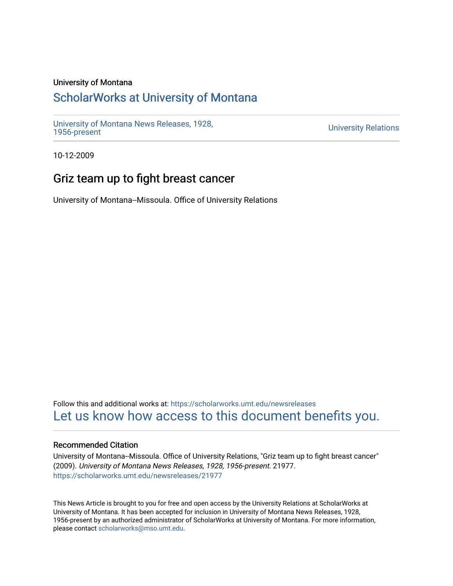### University of Montana

# [ScholarWorks at University of Montana](https://scholarworks.umt.edu/)

[University of Montana News Releases, 1928,](https://scholarworks.umt.edu/newsreleases) 

**University Relations** 

10-12-2009

# Griz team up to fight breast cancer

University of Montana--Missoula. Office of University Relations

Follow this and additional works at: [https://scholarworks.umt.edu/newsreleases](https://scholarworks.umt.edu/newsreleases?utm_source=scholarworks.umt.edu%2Fnewsreleases%2F21977&utm_medium=PDF&utm_campaign=PDFCoverPages) [Let us know how access to this document benefits you.](https://goo.gl/forms/s2rGfXOLzz71qgsB2) 

#### Recommended Citation

University of Montana--Missoula. Office of University Relations, "Griz team up to fight breast cancer" (2009). University of Montana News Releases, 1928, 1956-present. 21977. [https://scholarworks.umt.edu/newsreleases/21977](https://scholarworks.umt.edu/newsreleases/21977?utm_source=scholarworks.umt.edu%2Fnewsreleases%2F21977&utm_medium=PDF&utm_campaign=PDFCoverPages) 

This News Article is brought to you for free and open access by the University Relations at ScholarWorks at University of Montana. It has been accepted for inclusion in University of Montana News Releases, 1928, 1956-present by an authorized administrator of ScholarWorks at University of Montana. For more information, please contact [scholarworks@mso.umt.edu.](mailto:scholarworks@mso.umt.edu)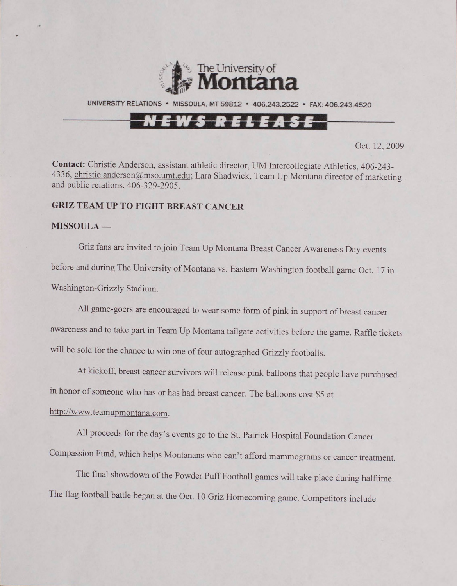

UNIVERSITY RELATIONS · MISSOULA, MT 59812 · 406.243.2522 · FAX: 406.243.4520

# NEWS RELEASE

Oct. 12, 2009

**Contact:** Christie Anderson, assistant athletic director, UM Intercollegiate Athletics. 406-243- 4336, christie.anderson@mso.umt.edu; Lara Shadwick, Team Up Montana director of marketing and public relations, 406-329-2905.

#### **GRIZ TEAM UP TO FIGHT BREAST CANCER**

#### **MISSOULA —**

Griz fans are invited to join Team Up Montana Breast Cancer Awareness Day events before and during The University of Montana vs. Eastern Washington football game Oct. 17 in Washington-Grizzly Stadium.

All game-goers are encouraged to wear some form of pink in support of breast cancer awareness and to take part in Team Up Montana tailgate activities before the game. Raffle tickets will be sold for the chance to win one of four autographed Grizzly footballs.

At kickoff, breast cancer survivors will release pink balloons that people have purchased in honor of someone who has or has had breast cancer. The balloons cost \$5 at http://www.teamupmontana.com.

All proceeds for the day's events go to the St. Patrick Hospital Foundation Cancer Compassion Fund, which helps Montanans who can't afford mammograms or cancer treatment.

The final showdown of the Powder Puff Football games will take place during halftime. The flag football battle began at the Oct. 10 Griz Homecoming game. Competitors include